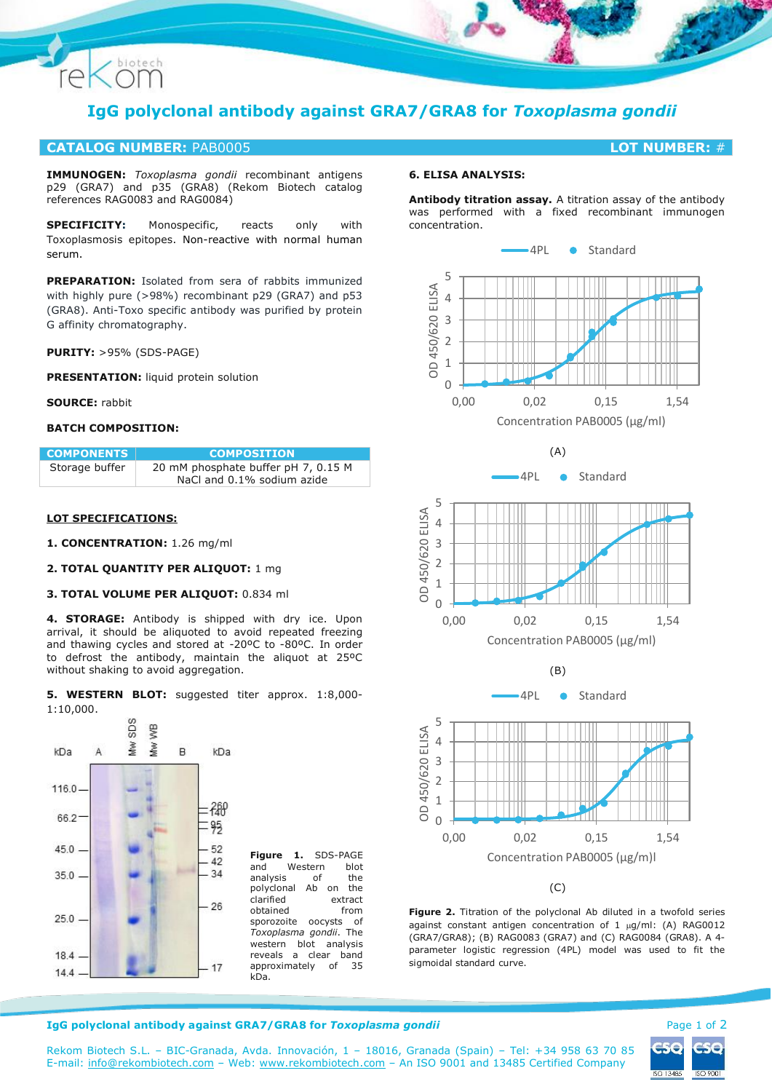

# **IgG polyclonal antibody against GRA7/GRA8 for** *Toxoplasma gondii*

## **CATALOG NUMBER:** PAB0005 **LOT NUMBER:** #

**IMMUNOGEN:** *Toxoplasma gondii* recombinant antigens p29 (GRA7) and p35 (GRA8) (Rekom Biotech catalog references RAG0083 and RAG0084)

**SPECIFICITY:** Monospecific, reacts only with Toxoplasmosis epitopes. Non-reactive with normal human serum.

**PREPARATION:** Isolated from sera of rabbits immunized with highly pure (>98%) recombinant p29 (GRA7) and p53 (GRA8). Anti-Toxo specific antibody was purified by protein G affinity chromatography.

**PURITY:** >95% (SDS-PAGE)

**PRESENTATION:** liquid protein solution

#### **SOURCE:** rabbit

### **BATCH COMPOSITION:**

| <b>COMPONENTS</b> | <b>COMPOSITION</b>                  |
|-------------------|-------------------------------------|
| Storage buffer    | 20 mM phosphate buffer pH 7, 0.15 M |
|                   | NaCl and 0.1% sodium azide          |

#### **LOT SPECIFICATIONS:**

#### **1. CONCENTRATION:** 1.26 mg/ml

#### **2. TOTAL QUANTITY PER ALIQUOT:** 1 mg

### **3. TOTAL VOLUME PER ALIQUOT:** 0.834 ml

**4. STORAGE:** Antibody is shipped with dry ice. Upon arrival, it should be aliquoted to avoid repeated freezing and thawing cycles and stored at -20ºC to -80ºC. In order to defrost the antibody, maintain the aliquot at 25ºC without shaking to avoid aggregation.

**5. WESTERN BLOT:** suggested titer approx. 1:8,000- 1:10,000.



#### **6. ELISA ANALYSIS:**

**Antibody titration assay.** A titration assay of the antibody was performed with a fixed recombinant immunogen concentration.











(C)

Figure 2. Titration of the polyclonal Ab diluted in a twofold series against constant antigen concentration of  $1 \mu g/ml$ : (A) RAG0012 (GRA7/GRA8); (B) RAG0083 (GRA7) and (C) RAG0084 (GRA8). A 4 parameter logistic regression (4PL) model was used to fit the sigmoidal standard curve.

#### **IgG polyclonal antibody against GRA7/GRA8 for** *Toxoplasma gondii* **Page 1 of 2 and** *Page 1 of 2* **and** *Page 1 of 2*

ISO 13485 ISO 9001

Rekom Biotech S.L. – BIC-Granada, Avda. Innovación, 1 – 18016, Granada (Spain) – Tel: +34 958 63 70 85 E-mail: [info@rekombiotech.com](mailto:info@rekombiotech.com) – Web: [www.rekombiotech.com](file:///D:/Dropbox/Rekom/pdfs/www.rekombiotech.com) – An ISO 9001 and 13485 Certified Company